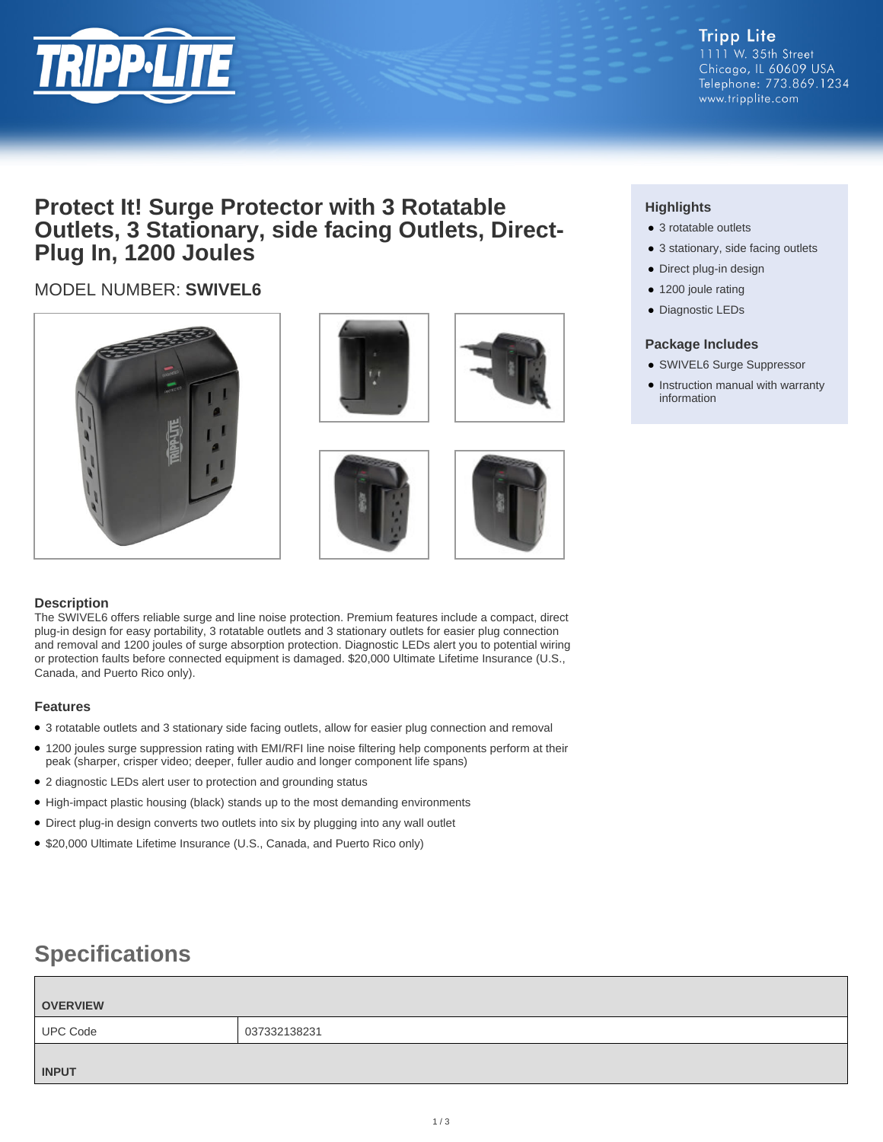

### **Protect It! Surge Protector with 3 Rotatable Outlets, 3 Stationary, side facing Outlets, Direct-Plug In, 1200 Joules**

### MODEL NUMBER: **SWIVEL6**











### **Description**

The SWIVEL6 offers reliable surge and line noise protection. Premium features include a compact, direct plug-in design for easy portability, 3 rotatable outlets and 3 stationary outlets for easier plug connection and removal and 1200 joules of surge absorption protection. Diagnostic LEDs alert you to potential wiring or protection faults before connected equipment is damaged. \$20,000 Ultimate Lifetime Insurance (U.S., Canada, and Puerto Rico only).

### **Features**

- 3 rotatable outlets and 3 stationary side facing outlets, allow for easier plug connection and removal
- 1200 joules surge suppression rating with EMI/RFI line noise filtering help components perform at their peak (sharper, crisper video; deeper, fuller audio and longer component life spans)
- 2 diagnostic LEDs alert user to protection and grounding status
- High-impact plastic housing (black) stands up to the most demanding environments
- Direct plug-in design converts two outlets into six by plugging into any wall outlet
- \$20,000 Ultimate Lifetime Insurance (U.S., Canada, and Puerto Rico only)

## **Specifications**

# **OVERVIEW** UPC Code 037332138231 **INPUT**

### **Highlights**

- 3 rotatable outlets
- 3 stationary, side facing outlets
- Direct plug-in design
- 1200 joule rating
- Diagnostic LEDs

### **Package Includes**

- SWIVEL6 Surge Suppressor
- Instruction manual with warranty information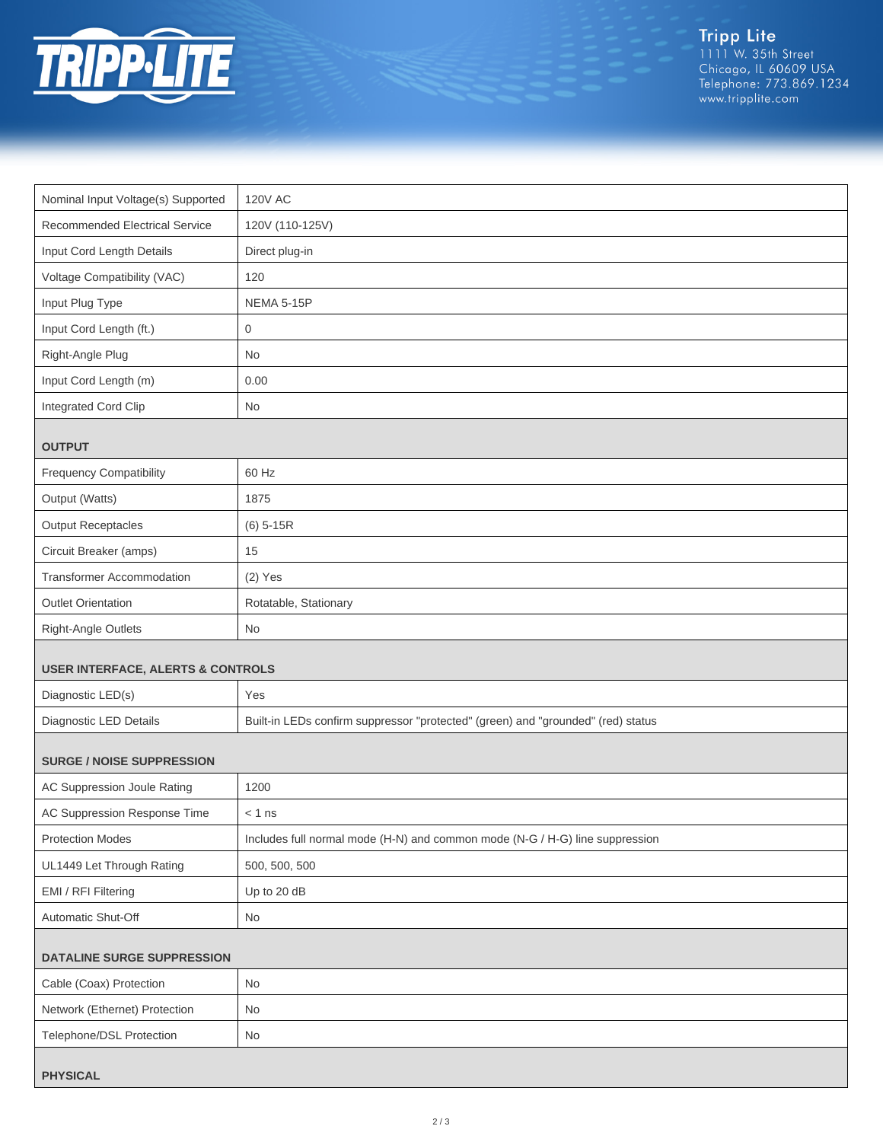

Tripp Lite<br>1111 W. 35th Street<br>Chicago, IL 60609 USA<br>Telephone: 773.869.1234<br>www.tripplite.com

| Nominal Input Voltage(s) Supported           | <b>120V AC</b>                                                                   |  |
|----------------------------------------------|----------------------------------------------------------------------------------|--|
| Recommended Electrical Service               | 120V (110-125V)                                                                  |  |
| Input Cord Length Details                    | Direct plug-in                                                                   |  |
| Voltage Compatibility (VAC)                  | 120                                                                              |  |
| Input Plug Type                              | <b>NEMA 5-15P</b>                                                                |  |
| Input Cord Length (ft.)                      | 0                                                                                |  |
| Right-Angle Plug                             | No                                                                               |  |
| Input Cord Length (m)                        | 0.00                                                                             |  |
| Integrated Cord Clip                         | No                                                                               |  |
| <b>OUTPUT</b>                                |                                                                                  |  |
| <b>Frequency Compatibility</b>               | 60 Hz                                                                            |  |
| Output (Watts)                               | 1875                                                                             |  |
| <b>Output Receptacles</b>                    | $(6)$ 5-15R                                                                      |  |
| Circuit Breaker (amps)                       | 15                                                                               |  |
| Transformer Accommodation                    | $(2)$ Yes                                                                        |  |
| <b>Outlet Orientation</b>                    | Rotatable, Stationary                                                            |  |
| Right-Angle Outlets                          | No                                                                               |  |
| <b>USER INTERFACE, ALERTS &amp; CONTROLS</b> |                                                                                  |  |
| Diagnostic LED(s)                            | Yes                                                                              |  |
| Diagnostic LED Details                       | Built-in LEDs confirm suppressor "protected" (green) and "grounded" (red) status |  |
| <b>SURGE / NOISE SUPPRESSION</b>             |                                                                                  |  |
| AC Suppression Joule Rating                  | 1200                                                                             |  |
| AC Suppression Response Time                 | $< 1$ ns                                                                         |  |
| <b>Protection Modes</b>                      | Includes full normal mode (H-N) and common mode (N-G / H-G) line suppression     |  |
| UL1449 Let Through Rating                    | 500, 500, 500                                                                    |  |
| EMI / RFI Filtering                          | Up to 20 dB                                                                      |  |
| Automatic Shut-Off                           | No                                                                               |  |
| <b>DATALINE SURGE SUPPRESSION</b>            |                                                                                  |  |
| Cable (Coax) Protection                      | No                                                                               |  |
| Network (Ethernet) Protection                | No                                                                               |  |
| Telephone/DSL Protection                     | No                                                                               |  |
| <b>PHYSICAL</b>                              |                                                                                  |  |